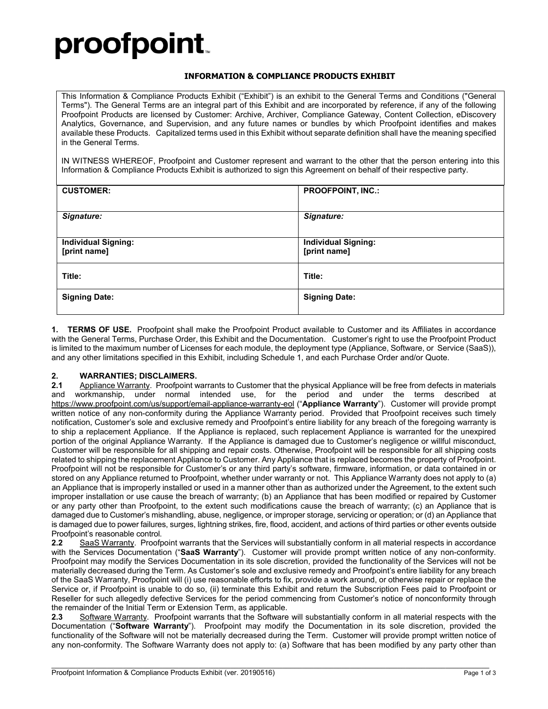# proofpoint.

#### **INFORMATION & COMPLIANCE PRODUCTS EXHIBIT**

This Information & Compliance Products Exhibit ("Exhibit") is an exhibit to the General Terms and Conditions ("General Terms"). The General Terms are an integral part of this Exhibit and are incorporated by reference, if any of the following Proofpoint Products are licensed by Customer: Archive, Archiver, Compliance Gateway, Content Collection, eDiscovery Analytics, Governance, and Supervision, and any future names or bundles by which Proofpoint identifies and makes available these Products. Capitalized terms used in this Exhibit without separate definition shall have the meaning specified in the General Terms.

IN WITNESS WHEREOF, Proofpoint and Customer represent and warrant to the other that the person entering into this Information & Compliance Products Exhibit is authorized to sign this Agreement on behalf of their respective party.

| <b>CUSTOMER:</b>                           | <b>PROOFPOINT, INC.:</b>                   |
|--------------------------------------------|--------------------------------------------|
| Signature:                                 | Signature:                                 |
| <b>Individual Signing:</b><br>[print name] | <b>Individual Signing:</b><br>[print name] |
| Title:                                     | Title:                                     |
| <b>Signing Date:</b>                       | <b>Signing Date:</b>                       |

**1. TERMS OF USE.** Proofpoint shall make the Proofpoint Product available to Customer and its Affiliates in accordance with the General Terms, Purchase Order, this Exhibit and the Documentation. Customer's right to use the Proofpoint Product is limited to the maximum number of Licenses for each module, the deployment type (Appliance, Software, or Service (SaaS)), and any other limitations specified in this Exhibit, including Schedule 1, and each Purchase Order and/or Quote.

## **2. WARRANTIES; DISCLAIMERS.**

**2.1** Appliance Warranty. Proofpoint warrants to Customer that the physical Appliance will be free from defects in materials and workmanship, under normal intended use, for the period and under the terms described at <https://www.proofpoint.com/us/support/email-appliance-warranty-eol> ("**Appliance Warranty**"). Customer will provide prompt written notice of any non-conformity during the Appliance Warranty period. Provided that Proofpoint receives such timely notification, Customer's sole and exclusive remedy and Proofpoint's entire liability for any breach of the foregoing warranty is to ship a replacement Appliance. If the Appliance is replaced, such replacement Appliance is warranted for the unexpired portion of the original Appliance Warranty. If the Appliance is damaged due to Customer's negligence or willful misconduct, Customer will be responsible for all shipping and repair costs. Otherwise, Proofpoint will be responsible for all shipping costs related to shipping the replacement Appliance to Customer. Any Appliance that is replaced becomes the property of Proofpoint. Proofpoint will not be responsible for Customer's or any third party's software, firmware, information, or data contained in or stored on any Appliance returned to Proofpoint, whether under warranty or not. This Appliance Warranty does not apply to (a) an Appliance that is improperly installed or used in a manner other than as authorized under the Agreement, to the extent such improper installation or use cause the breach of warranty; (b) an Appliance that has been modified or repaired by Customer or any party other than Proofpoint, to the extent such modifications cause the breach of warranty; (c) an Appliance that is damaged due to Customer's mishandling, abuse, negligence, or improper storage, servicing or operation; or (d) an Appliance that is damaged due to power failures, surges, lightning strikes, fire, flood, accident, and actions of third parties or other events outside Proofpoint's reasonable control.<br>**2.2** SaaS Warranty. Proofp

**2.2** SaaS Warranty. Proofpoint warrants that the Services will substantially conform in all material respects in accordance with the Services Documentation ("**SaaS Warranty**"). Customer will provide prompt written notice of any non-conformity. Proofpoint may modify the Services Documentation in its sole discretion, provided the functionality of the Services will not be materially decreased during the Term. As Customer's sole and exclusive remedy and Proofpoint's entire liability for any breach of the SaaS Warranty, Proofpoint will (i) use reasonable efforts to fix, provide a work around, or otherwise repair or replace the Service or, if Proofpoint is unable to do so, (ii) terminate this Exhibit and return the Subscription Fees paid to Proofpoint or Reseller for such allegedly defective Services for the period commencing from Customer's notice of nonconformity through the remainder of the Initial Term or Extension Term, as applicable.

**2.3** Software Warranty. Proofpoint warrants that the Software will substantially conform in all material respects with the Documentation ("**Software Warranty**"). Proofpoint may modify the Documentation in its sole discretion, provided the functionality of the Software will not be materially decreased during the Term. Customer will provide prompt written notice of any non-conformity. The Software Warranty does not apply to: (a) Software that has been modified by any party other than

\_\_\_\_\_\_\_\_\_\_\_\_\_\_\_\_\_\_\_\_\_\_\_\_\_\_\_\_\_\_\_\_\_\_\_\_\_\_\_\_\_\_\_\_\_\_\_\_\_\_\_\_\_\_\_\_\_\_\_\_\_\_\_\_\_\_\_\_\_\_\_\_\_\_\_\_\_\_\_\_\_\_\_\_\_\_\_\_\_\_\_\_\_\_\_\_\_\_\_\_\_\_\_\_\_\_\_\_\_\_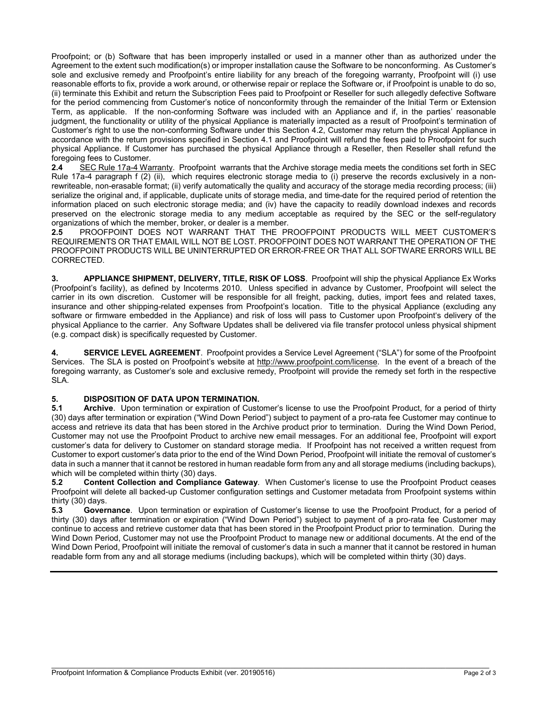Proofpoint; or (b) Software that has been improperly installed or used in a manner other than as authorized under the Agreement to the extent such modification(s) or improper installation cause the Software to be nonconforming. As Customer's sole and exclusive remedy and Proofpoint's entire liability for any breach of the foregoing warranty, Proofpoint will (i) use reasonable efforts to fix, provide a work around, or otherwise repair or replace the Software or, if Proofpoint is unable to do so, (ii) terminate this Exhibit and return the Subscription Fees paid to Proofpoint or Reseller for such allegedly defective Software for the period commencing from Customer's notice of nonconformity through the remainder of the Initial Term or Extension Term, as applicable. If the non-conforming Software was included with an Appliance and if, in the parties' reasonable judgment, the functionality or utility of the physical Appliance is materially impacted as a result of Proofpoint's termination of Customer's right to use the non-conforming Software under this Section 4.2, Customer may return the physical Appliance in accordance with the return provisions specified in Section 4.1 and Proofpoint will refund the fees paid to Proofpoint for such physical Appliance. If Customer has purchased the physical Appliance through a Reseller, then Reseller shall refund the foregoing fees to Customer.

**2.4** SEC Rule 17a-4 Warranty. Proofpoint warrants that the Archive storage media meets the conditions set forth in SEC Rule 17a-4 paragraph f (2) (ii), which requires electronic storage media to (i) preserve the records exclusively in a nonrewriteable, non-erasable format; (ii) verify automatically the quality and accuracy of the storage media recording process; (iii) serialize the original and, if applicable, duplicate units of storage media, and time-date for the required period of retention the information placed on such electronic storage media; and (iv) have the capacity to readily download indexes and records preserved on the electronic storage media to any medium acceptable as required by the SEC or the self-regulatory organizations of which the member, broker, or dealer is a member.<br>2.5 PROOFPOINT DOES NOT WARRANT THAT THE PF

**2.5** PROOFPOINT DOES NOT WARRANT THAT THE PROOFPOINT PRODUCTS WILL MEET CUSTOMER'S REQUIREMENTS OR THAT EMAIL WILL NOT BE LOST. PROOFPOINT DOES NOT WARRANT THE OPERATION OF THE PROOFPOINT PRODUCTS WILL BE UNINTERRUPTED OR ERROR-FREE OR THAT ALL SOFTWARE ERRORS WILL BE CORRECTED.

**3. APPLIANCE SHIPMENT, DELIVERY, TITLE, RISK OF LOSS**. Proofpoint will ship the physical Appliance Ex Works (Proofpoint's facility), as defined by Incoterms 2010. Unless specified in advance by Customer, Proofpoint will select the carrier in its own discretion. Customer will be responsible for all freight, packing, duties, import fees and related taxes, insurance and other shipping-related expenses from Proofpoint's location. Title to the physical Appliance (excluding any software or firmware embedded in the Appliance) and risk of loss will pass to Customer upon Proofpoint's delivery of the physical Appliance to the carrier. Any Software Updates shall be delivered via file transfer protocol unless physical shipment (e.g. compact disk) is specifically requested by Customer.

**4. SERVICE LEVEL AGREEMENT**. Proofpoint provides a Service Level Agreement ("SLA") for some of the Proofpoint Services. The SLA is posted on Proofpoint's website at [http://www.proofpoint.com/license.](http://www.proofpoint.com/license) In the event of a breach of the foregoing warranty, as Customer's sole and exclusive remedy, Proofpoint will provide the remedy set forth in the respective SLA.

## **5. DISPOSITION OF DATA UPON TERMINATION.**

**5.1 Archive**. Upon termination or expiration of Customer's license to use the Proofpoint Product, for a period of thirty (30) days after termination or expiration ("Wind Down Period") subject to payment of a pro-rata fee Customer may continue to access and retrieve its data that has been stored in the Archive product prior to termination. During the Wind Down Period, Customer may not use the Proofpoint Product to archive new email messages. For an additional fee, Proofpoint will export customer's data for delivery to Customer on standard storage media. If Proofpoint has not received a written request from Customer to export customer's data prior to the end of the Wind Down Period, Proofpoint will initiate the removal of customer's data in such a manner that it cannot be restored in human readable form from any and all storage mediums (including backups), which will be completed within thirty (30) days.

**5.2 Content Collection and Compliance Gateway**. When Customer's license to use the Proofpoint Product ceases Proofpoint will delete all backed-up Customer configuration settings and Customer metadata from Proofpoint systems within thirty (30) days.

**5.3 Governance**. Upon termination or expiration of Customer's license to use the Proofpoint Product, for a period of thirty (30) days after termination or expiration ("Wind Down Period") subject to payment of a pro-rata fee Customer may continue to access and retrieve customer data that has been stored in the Proofpoint Product prior to termination. During the Wind Down Period, Customer may not use the Proofpoint Product to manage new or additional documents. At the end of the Wind Down Period, Proofpoint will initiate the removal of customer's data in such a manner that it cannot be restored in human readable form from any and all storage mediums (including backups), which will be completed within thirty (30) days.

\_\_\_\_\_\_\_\_\_\_\_\_\_\_\_\_\_\_\_\_\_\_\_\_\_\_\_\_\_\_\_\_\_\_\_\_\_\_\_\_\_\_\_\_\_\_\_\_\_\_\_\_\_\_\_\_\_\_\_\_\_\_\_\_\_\_\_\_\_\_\_\_\_\_\_\_\_\_\_\_\_\_\_\_\_\_\_\_\_\_\_\_\_\_\_\_\_\_\_\_\_\_\_\_\_\_\_\_\_\_